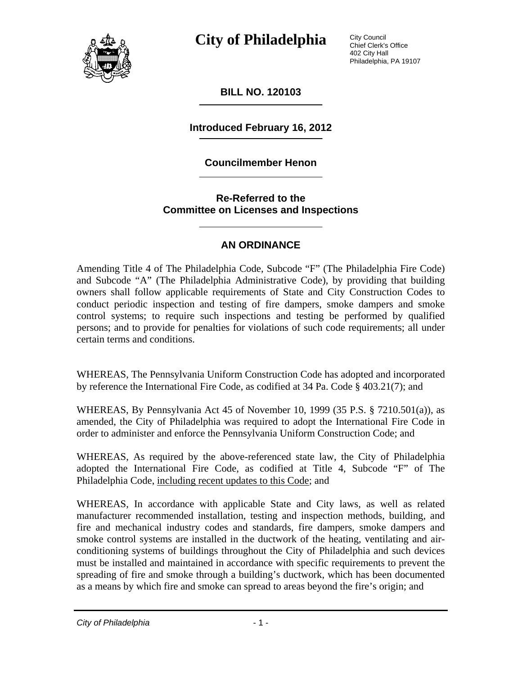

City Council Chief Clerk's Office 402 City Hall Philadelphia, PA 19107

**BILL NO. 120103** 

**Introduced February 16, 2012** 

## **Councilmember Henon**

**Re-Referred to the Committee on Licenses and Inspections** 

## **AN ORDINANCE**

Amending Title 4 of The Philadelphia Code, Subcode "F" (The Philadelphia Fire Code) and Subcode "A" (The Philadelphia Administrative Code), by providing that building owners shall follow applicable requirements of State and City Construction Codes to conduct periodic inspection and testing of fire dampers, smoke dampers and smoke control systems; to require such inspections and testing be performed by qualified persons; and to provide for penalties for violations of such code requirements; all under certain terms and conditions.

WHEREAS, The Pennsylvania Uniform Construction Code has adopted and incorporated by reference the International Fire Code, as codified at 34 Pa. Code § 403.21(7); and

WHEREAS, By Pennsylvania Act 45 of November 10, 1999 (35 P.S. § 7210.501(a)), as amended, the City of Philadelphia was required to adopt the International Fire Code in order to administer and enforce the Pennsylvania Uniform Construction Code; and

WHEREAS, As required by the above-referenced state law, the City of Philadelphia adopted the International Fire Code, as codified at Title 4, Subcode "F" of The Philadelphia Code, including recent updates to this Code; and

WHEREAS, In accordance with applicable State and City laws, as well as related manufacturer recommended installation, testing and inspection methods, building, and fire and mechanical industry codes and standards, fire dampers, smoke dampers and smoke control systems are installed in the ductwork of the heating, ventilating and airconditioning systems of buildings throughout the City of Philadelphia and such devices must be installed and maintained in accordance with specific requirements to prevent the spreading of fire and smoke through a building's ductwork, which has been documented as a means by which fire and smoke can spread to areas beyond the fire's origin; and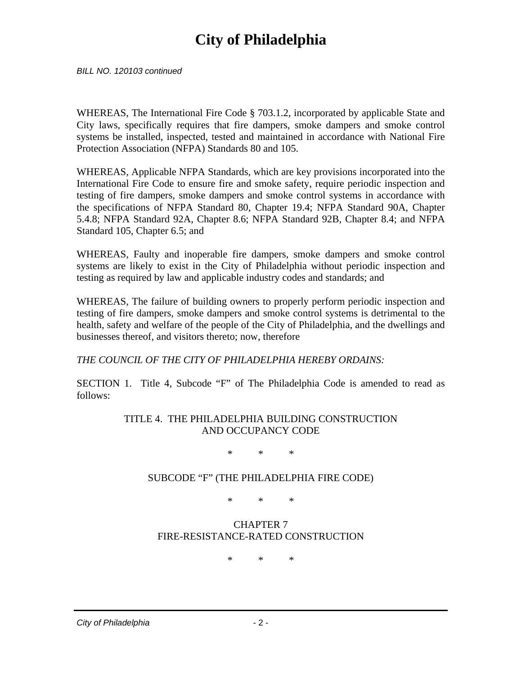*BILL NO. 120103 continued* 

WHEREAS, The International Fire Code § 703.1.2, incorporated by applicable State and City laws, specifically requires that fire dampers, smoke dampers and smoke control systems be installed, inspected, tested and maintained in accordance with National Fire Protection Association (NFPA) Standards 80 and 105.

WHEREAS, Applicable NFPA Standards, which are key provisions incorporated into the International Fire Code to ensure fire and smoke safety, require periodic inspection and testing of fire dampers, smoke dampers and smoke control systems in accordance with the specifications of NFPA Standard 80, Chapter 19.4; NFPA Standard 90A, Chapter 5.4.8; NFPA Standard 92A, Chapter 8.6; NFPA Standard 92B, Chapter 8.4; and NFPA Standard 105, Chapter 6.5; and

WHEREAS, Faulty and inoperable fire dampers, smoke dampers and smoke control systems are likely to exist in the City of Philadelphia without periodic inspection and testing as required by law and applicable industry codes and standards; and

WHEREAS, The failure of building owners to properly perform periodic inspection and testing of fire dampers, smoke dampers and smoke control systems is detrimental to the health, safety and welfare of the people of the City of Philadelphia, and the dwellings and businesses thereof, and visitors thereto; now, therefore

*THE COUNCIL OF THE CITY OF PHILADELPHIA HEREBY ORDAINS:* 

SECTION 1. Title 4, Subcode "F" of The Philadelphia Code is amended to read as follows:

> TITLE 4. THE PHILADELPHIA BUILDING CONSTRUCTION AND OCCUPANCY CODE

> > \* \* \*

## SUBCODE "F" (THE PHILADELPHIA FIRE CODE)

\* \* \*

## CHAPTER 7 FIRE-RESISTANCE-RATED CONSTRUCTION

\* \* \*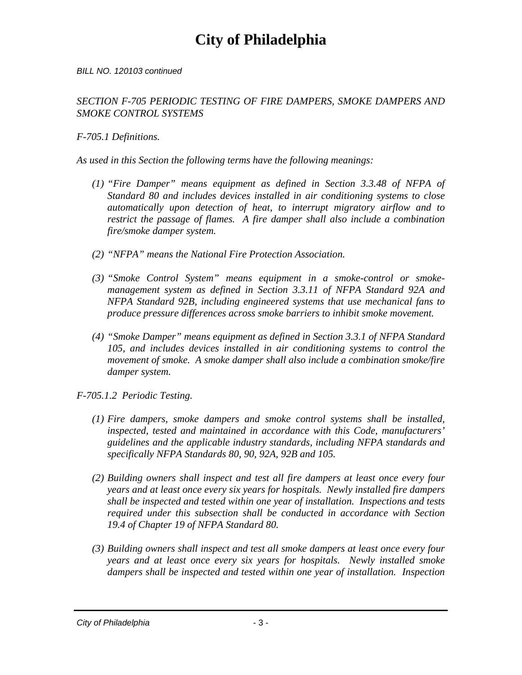#### *BILL NO. 120103 continued*

### *SECTION F-705 PERIODIC TESTING OF FIRE DAMPERS, SMOKE DAMPERS AND SMOKE CONTROL SYSTEMS*

### *F-705.1 Definitions.*

*As used in this Section the following terms have the following meanings:* 

- *(1) "Fire Damper" means equipment as defined in Section 3.3.48 of NFPA of Standard 80 and includes devices installed in air conditioning systems to close automatically upon detection of heat, to interrupt migratory airflow and to restrict the passage of flames. A fire damper shall also include a combination fire/smoke damper system.*
- *(2) "NFPA" means the National Fire Protection Association.*
- *(3) "Smoke Control System" means equipment in a smoke-control or smokemanagement system as defined in Section 3.3.11 of NFPA Standard 92A and NFPA Standard 92B, including engineered systems that use mechanical fans to produce pressure differences across smoke barriers to inhibit smoke movement.*
- *(4) "Smoke Damper" means equipment as defined in Section 3.3.1 of NFPA Standard 105, and includes devices installed in air conditioning systems to control the movement of smoke. A smoke damper shall also include a combination smoke/fire damper system.*
- *F-705.1.2 Periodic Testing.* 
	- *(1) Fire dampers, smoke dampers and smoke control systems shall be installed, inspected, tested and maintained in accordance with this Code, manufacturers' guidelines and the applicable industry standards, including NFPA standards and specifically NFPA Standards 80, 90, 92A, 92B and 105.*
	- *(2) Building owners shall inspect and test all fire dampers at least once every four years and at least once every six years for hospitals. Newly installed fire dampers shall be inspected and tested within one year of installation. Inspections and tests required under this subsection shall be conducted in accordance with Section 19.4 of Chapter 19 of NFPA Standard 80.*
	- *(3) Building owners shall inspect and test all smoke dampers at least once every four years and at least once every six years for hospitals. Newly installed smoke dampers shall be inspected and tested within one year of installation. Inspection*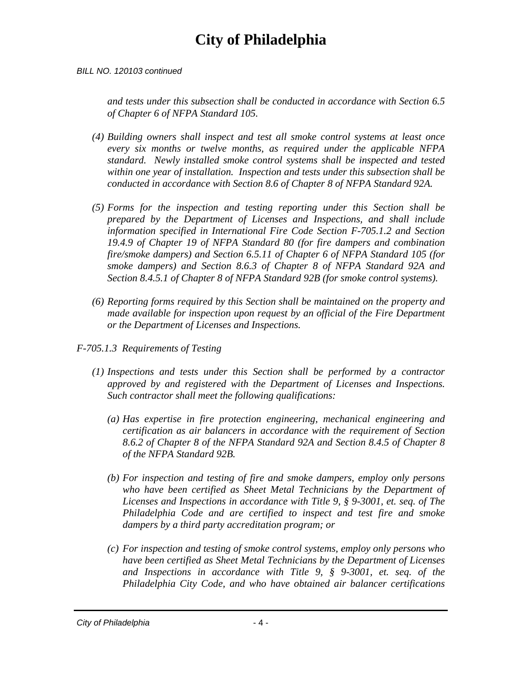#### *BILL NO. 120103 continued*

*and tests under this subsection shall be conducted in accordance with Section 6.5 of Chapter 6 of NFPA Standard 105.* 

- *(4) Building owners shall inspect and test all smoke control systems at least once every six months or twelve months, as required under the applicable NFPA standard. Newly installed smoke control systems shall be inspected and tested within one year of installation. Inspection and tests under this subsection shall be conducted in accordance with Section 8.6 of Chapter 8 of NFPA Standard 92A.*
- *(5) Forms for the inspection and testing reporting under this Section shall be prepared by the Department of Licenses and Inspections, and shall include information specified in International Fire Code Section F-705.1.2 and Section 19.4.9 of Chapter 19 of NFPA Standard 80 (for fire dampers and combination fire/smoke dampers) and Section 6.5.11 of Chapter 6 of NFPA Standard 105 (for smoke dampers) and Section 8.6.3 of Chapter 8 of NFPA Standard 92A and Section 8.4.5.1 of Chapter 8 of NFPA Standard 92B (for smoke control systems).*
- *(6) Reporting forms required by this Section shall be maintained on the property and made available for inspection upon request by an official of the Fire Department or the Department of Licenses and Inspections.*
- *F-705.1.3 Requirements of Testing* 
	- *(1) Inspections and tests under this Section shall be performed by a contractor approved by and registered with the Department of Licenses and Inspections. Such contractor shall meet the following qualifications:* 
		- *(a) Has expertise in fire protection engineering, mechanical engineering and certification as air balancers in accordance with the requirement of Section 8.6.2 of Chapter 8 of the NFPA Standard 92A and Section 8.4.5 of Chapter 8 of the NFPA Standard 92B.*
		- *(b) For inspection and testing of fire and smoke dampers, employ only persons who have been certified as Sheet Metal Technicians by the Department of Licenses and Inspections in accordance with Title 9, § 9-3001, et. seq. of The Philadelphia Code and are certified to inspect and test fire and smoke dampers by a third party accreditation program; or*
		- *(c) For inspection and testing of smoke control systems, employ only persons who have been certified as Sheet Metal Technicians by the Department of Licenses and Inspections in accordance with Title 9, § 9-3001, et. seq. of the Philadelphia City Code, and who have obtained air balancer certifications*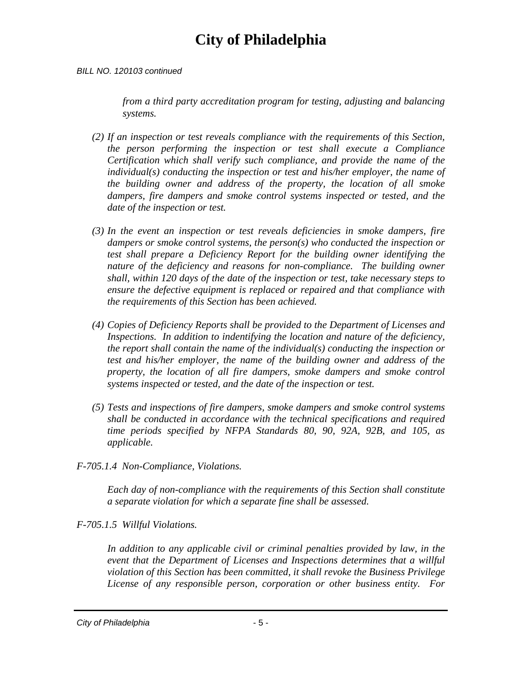#### *BILL NO. 120103 continued*

*from a third party accreditation program for testing, adjusting and balancing systems.* 

- *(2) If an inspection or test reveals compliance with the requirements of this Section, the person performing the inspection or test shall execute a Compliance Certification which shall verify such compliance, and provide the name of the individual(s) conducting the inspection or test and his/her employer, the name of the building owner and address of the property, the location of all smoke dampers, fire dampers and smoke control systems inspected or tested, and the date of the inspection or test.*
- *(3) In the event an inspection or test reveals deficiencies in smoke dampers, fire dampers or smoke control systems, the person(s) who conducted the inspection or test shall prepare a Deficiency Report for the building owner identifying the nature of the deficiency and reasons for non-compliance. The building owner shall, within 120 days of the date of the inspection or test, take necessary steps to ensure the defective equipment is replaced or repaired and that compliance with the requirements of this Section has been achieved.*
- *(4) Copies of Deficiency Reports shall be provided to the Department of Licenses and Inspections. In addition to indentifying the location and nature of the deficiency, the report shall contain the name of the individual(s) conducting the inspection or test and his/her employer, the name of the building owner and address of the property, the location of all fire dampers, smoke dampers and smoke control systems inspected or tested, and the date of the inspection or test.*
- *(5) Tests and inspections of fire dampers, smoke dampers and smoke control systems shall be conducted in accordance with the technical specifications and required time periods specified by NFPA Standards 80, 90, 92A, 92B, and 105, as applicable.*
- *F-705.1.4 Non-Compliance, Violations.*

*Each day of non-compliance with the requirements of this Section shall constitute a separate violation for which a separate fine shall be assessed.* 

*F-705.1.5 Willful Violations.* 

*In addition to any applicable civil or criminal penalties provided by law, in the event that the Department of Licenses and Inspections determines that a willful violation of this Section has been committed, it shall revoke the Business Privilege License of any responsible person, corporation or other business entity. For*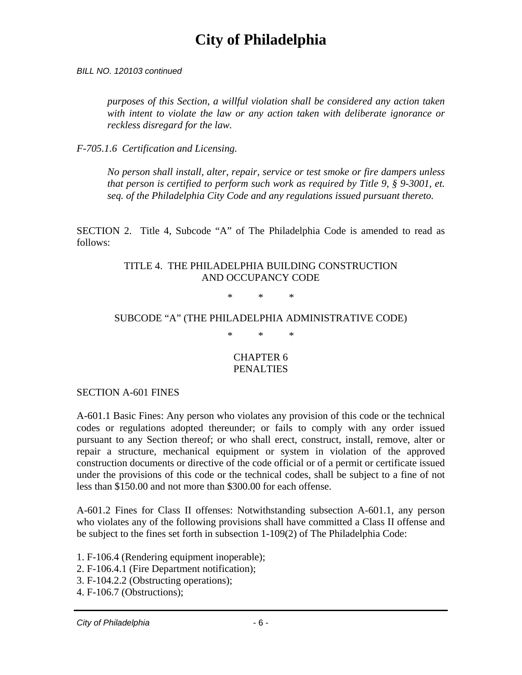*BILL NO. 120103 continued* 

*purposes of this Section, a willful violation shall be considered any action taken with intent to violate the law or any action taken with deliberate ignorance or reckless disregard for the law.* 

*F-705.1.6 Certification and Licensing.* 

*No person shall install, alter, repair, service or test smoke or fire dampers unless that person is certified to perform such work as required by Title 9, § 9-3001, et. seq. of the Philadelphia City Code and any regulations issued pursuant thereto.* 

SECTION 2. Title 4, Subcode "A" of The Philadelphia Code is amended to read as follows:

### TITLE 4. THE PHILADELPHIA BUILDING CONSTRUCTION AND OCCUPANCY CODE

\* \* \*

## SUBCODE "A" (THE PHILADELPHIA ADMINISTRATIVE CODE)

\* \* \*

### CHAPTER 6 **PENALTIES**

SECTION A-601 FINES

A-601.1 Basic Fines: Any person who violates any provision of this code or the technical codes or regulations adopted thereunder; or fails to comply with any order issued pursuant to any Section thereof; or who shall erect, construct, install, remove, alter or repair a structure, mechanical equipment or system in violation of the approved construction documents or directive of the code official or of a permit or certificate issued under the provisions of this code or the technical codes, shall be subject to a fine of not less than \$150.00 and not more than \$300.00 for each offense.

A-601.2 Fines for Class II offenses: Notwithstanding subsection A-601.1, any person who violates any of the following provisions shall have committed a Class II offense and be subject to the fines set forth in subsection 1-109(2) of The Philadelphia Code:

- 1. F-106.4 (Rendering equipment inoperable);
- 2. F-106.4.1 (Fire Department notification);
- 3. F-104.2.2 (Obstructing operations);
- 4. F-106.7 (Obstructions);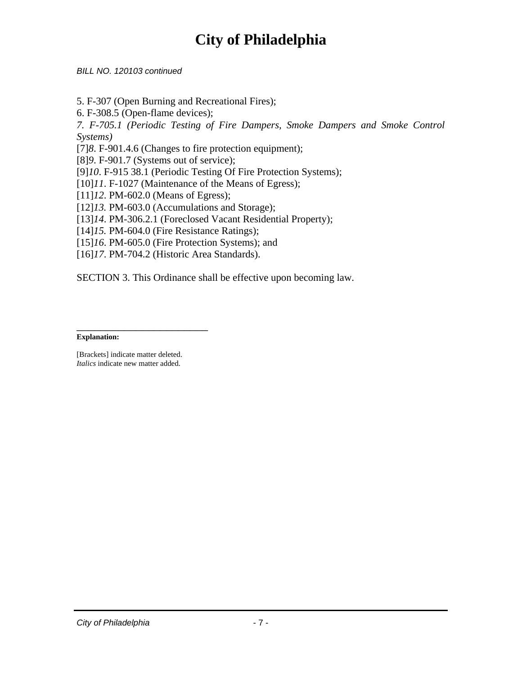*BILL NO. 120103 continued* 

5. F-307 (Open Burning and Recreational Fires);

6. F-308.5 (Open-flame devices);

*7. F-705.1 (Periodic Testing of Fire Dampers, Smoke Dampers and Smoke Control Systems)* 

[7]*8*. F-901.4.6 (Changes to fire protection equipment);

[8]*9*. F-901.7 (Systems out of service);

[9]*10*. F-915 38.1 (Periodic Testing Of Fire Protection Systems);

[10]*11*. F-1027 (Maintenance of the Means of Egress);

[11]*12*. PM-602.0 (Means of Egress);

[12]*13.* PM-603.0 (Accumulations and Storage);

[13]*14*. PM-306.2.1 (Foreclosed Vacant Residential Property);

[14]*15.* PM-604.0 (Fire Resistance Ratings);

[15]*16*. PM-605.0 (Fire Protection Systems); and

[16]*17*. PM-704.2 (Historic Area Standards).

SECTION 3. This Ordinance shall be effective upon becoming law.

#### \_\_\_\_\_\_\_\_\_\_\_\_\_\_\_\_\_\_\_\_\_\_ **Explanation:**

[Brackets] indicate matter deleted. *Italics* indicate new matter added.